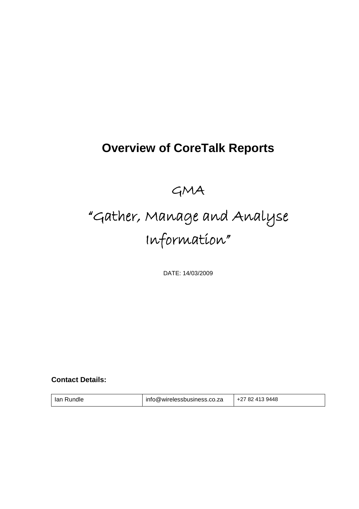## **Overview of CoreTalk Reports**

GMA

# "Gather, Manage and Analyse Information"

DATE: 14/03/2009

**Contact Details:**

| lan<br>Rundle | info@wirelessbusiness.co.za | 82 413 9448 "<br>. 27. 92.<br>+∠7 |
|---------------|-----------------------------|-----------------------------------|
|---------------|-----------------------------|-----------------------------------|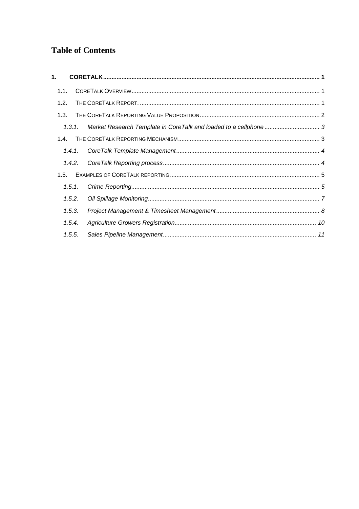### **Table of Contents**

| 1.      |  |
|---------|--|
| 1.1.    |  |
| 1.2.    |  |
| 1.3.    |  |
| 1.3.1.  |  |
| 14      |  |
| 1, 4, 1 |  |
| 1.4.2.  |  |
|         |  |
| 1.5.1.  |  |
| 1.5.2.  |  |
| 1.5.3.  |  |
| 1.5.4.  |  |
| 1.5.5.  |  |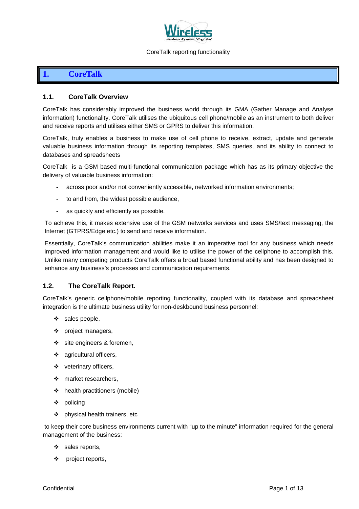

## <span id="page-2-0"></span>**1. CoreTalk**

#### <span id="page-2-1"></span>**1.1. CoreTalk Overview**

CoreTalk has considerably improved the business world through its GMA (Gather Manage and Analyse information) functionality. CoreTalk utilises the ubiquitous cell phone/mobile as an instrument to both deliver and receive reports and utilises either SMS or GPRS to deliver this information.

CoreTalk, truly enables a business to make use of cell phone to receive, extract, update and generate valuable business information through its reporting templates, SMS queries, and its ability to connect to databases and spreadsheets

CoreTalk is a GSM based multi-functional communication package which has as its primary objective the delivery of valuable business information:

- across poor and/or not conveniently accessible, networked information environments;
- to and from, the widest possible audience,
- as quickly and efficiently as possible.

To achieve this, it makes extensive use of the GSM networks services and uses SMS/text messaging, the Internet (GTPRS/Edge etc.) to send and receive information.

Essentially, CoreTalk's communication abilities make it an imperative tool for any business which needs improved information management and would like to utilise the power of the cellphone to accomplish this. Unlike many competing products CoreTalk offers a broad based functional ability and has been designed to enhance any business's processes and communication requirements.

#### <span id="page-2-2"></span>**1.2. The CoreTalk Report.**

CoreTalk's generic cellphone/mobile reporting functionality, coupled with its database and spreadsheet integration is the ultimate business utility for non-deskbound business personnel:

- ❖ sales people,
- $\div$  project managers.
- Site engineers & foremen,
- agricultural officers,
- veterinary officers,
- market researchers.
- health practitioners (mobile)
- policing
- ❖ physical health trainers, etc

to keep their core business environments current with "up to the minute" information required for the general management of the business:

- ❖ sales reports,
- project reports,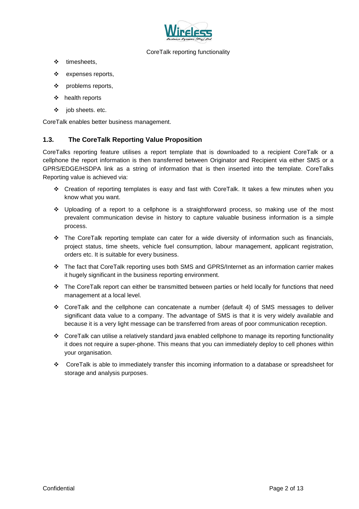

- $\div$  timesheets,
- ❖ expenses reports,
- problems reports,
- health reports
- $\div$  job sheets. etc.

CoreTalk enables better business management.

#### <span id="page-3-0"></span>**1.3. The CoreTalk Reporting Value Proposition**

CoreTalks reporting feature utilises a report template that is downloaded to a recipient CoreTalk or a cellphone the report information is then transferred between Originator and Recipient via either SMS or a GPRS/EDGE/HSDPA link as a string of information that is then inserted into the template. CoreTalks Reporting value is achieved via:

- \* Creation of reporting templates is easy and fast with CoreTalk. It takes a few minutes when you know what you want.
- Uploading of a report to a cellphone is a straightforward process, so making use of the most prevalent communication devise in history to capture valuable business information is a simple process.
- The CoreTalk reporting template can cater for a wide diversity of information such as financials, project status, time sheets, vehicle fuel consumption, labour management, applicant registration, orders etc. It is suitable for every business.
- The fact that CoreTalk reporting uses both SMS and GPRS/Internet as an information carrier makes it hugely significant in the business reporting environment.
- The CoreTalk report can either be transmitted between parties or held locally for functions that need management at a local level.
- CoreTalk and the cellphone can concatenate a number (default 4) of SMS messages to deliver significant data value to a company. The advantage of SMS is that it is very widely available and because it is a very light message can be transferred from areas of poor communication reception.
- CoreTalk can utilise a relatively standard java enabled cellphone to manage its reporting functionality it does not require a super-phone. This means that you can immediately deploy to cell phones within your organisation.
- CoreTalk is able to immediately transfer this incoming information to a database or spreadsheet for storage and analysis purposes.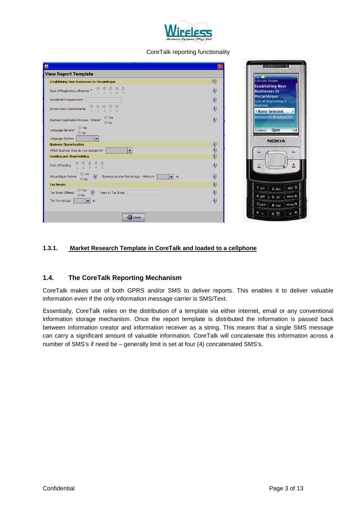

| 图                                                                                                                                      | $\mathsf{\overline{x}}$ | <b>NET BROOKS AND REAL TWO</b>                                                                                                                                                                                                       |
|----------------------------------------------------------------------------------------------------------------------------------------|-------------------------|--------------------------------------------------------------------------------------------------------------------------------------------------------------------------------------------------------------------------------------|
| <b>View Report Template</b>                                                                                                            |                         | <b>The Contract of the Contract of the Contract of The Contract of The Contract of The Contract of The Contract of The Contract of The Contract of The Contract of The Contract of The Contract of The Contract of The Contract </b> |
| Establishing New Businesses In Mozambique                                                                                              | G                       | Economic Review                                                                                                                                                                                                                      |
| $\bigcirc$<br>⊙<br>$\circ$<br>Ease of Registering a Business *                                                                         | $\overline{\mathbf{Q}}$ | <b>Establishing New</b><br><b>Businesses In</b><br>Mozambique                                                                                                                                                                        |
| Investment Requirement                                                                                                                 | $\overline{\mathbf{Q}}$ | Ease of Registering a                                                                                                                                                                                                                |
| <b>Employment Commitments</b><br>5                                                                                                     | 4                       | <b>Business:</b><br>«None Selected                                                                                                                                                                                                   |
| O Yes<br>Business Registration Process - Simple?<br>$\bigcirc$ No                                                                      | $\mathbf{Q}$            | <b>Investment Requirement:</b>                                                                                                                                                                                                       |
| O Yes<br>Language Barriers?<br>$\bigcirc$ No                                                                                           |                         | <b>Open</b><br>Continue<br>Exit                                                                                                                                                                                                      |
| Language Spoken<br>▼                                                                                                                   |                         | <b>NOKIA</b>                                                                                                                                                                                                                         |
| <b>Business Opportunities</b>                                                                                                          |                         |                                                                                                                                                                                                                                      |
| Which Business Area do you operate in?<br>$\overline{\phantom{a}}$                                                                     |                         |                                                                                                                                                                                                                                      |
| <b>Funding and Shareholding</b>                                                                                                        |                         |                                                                                                                                                                                                                                      |
| Ease of Funding<br>5                                                                                                                   | $\overline{\mathbf{Q}}$ |                                                                                                                                                                                                                                      |
| $\bigcirc$ Yes<br>Œ<br>Business partner Percentage - Minimum<br>Mozambique Partner<br>$\blacksquare$<br>$\frac{9}{6}$<br>$\bigcirc$ No | $\overline{\mathbf{Q}}$ |                                                                                                                                                                                                                                      |
| <b>Tax Breaks</b>                                                                                                                      | $\overline{4}$          | def <sup>3</sup><br>1 <sub>00</sub><br>$2$ abc                                                                                                                                                                                       |
| $\bigcirc$ Yes<br>$\odot$<br>Years of Tax Break<br>Tax Break Offered<br>$\bigcirc$ No                                                  | $\overline{\mathbf{Q}}$ |                                                                                                                                                                                                                                      |
| <b>Tax Percentage</b><br>%<br>$\overline{\phantom{a}}$                                                                                 | $\bigcirc$              | 4 ghi<br>mno 6<br>5 jkl                                                                                                                                                                                                              |
|                                                                                                                                        |                         | 7 pgrs<br>wxyz9<br>8 tuv                                                                                                                                                                                                             |
| <b>SE</b> Close                                                                                                                        |                         | $\circ$ #<br>0Q<br>$\ddot{}$                                                                                                                                                                                                         |

#### <span id="page-4-0"></span>**1.3.1. Market Research Template in CoreTalk and loaded to a cellphone**

#### <span id="page-4-1"></span>**1.4. The CoreTalk Reporting Mechanism**

CoreTalk makes use of both GPRS and/or SMS to deliver reports. This enables it to deliver valuable information even if the only information message carrier is SMS/Text.

Essentially, CoreTalk relies on the distribution of a template via either internet, email or any conventional information storage mechanism. Once the report template is distributed the information is passed back between information creator and information receiver as a string. This means that a single SMS message can carry a significant amount of valuable information. CoreTalk will concatenate this information across a number of SMS's if need be – generally limit is set at four (4) concatenated SMS's.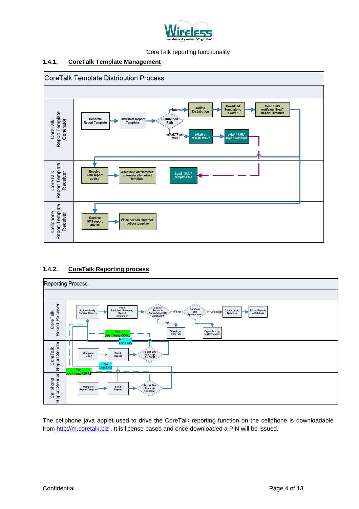

#### <span id="page-5-0"></span>**1.4.1. CoreTalk Template Management**



#### <span id="page-5-1"></span>**1.4.2. CoreTalk Reporting process**



The cellphone java applet used to drive the CoreTalk reporting function on the cellphone is downloadable from [http://m.coretalk.biz](http://m.coretalk.biz/) . It is license based and once downloaded a PIN will be issued.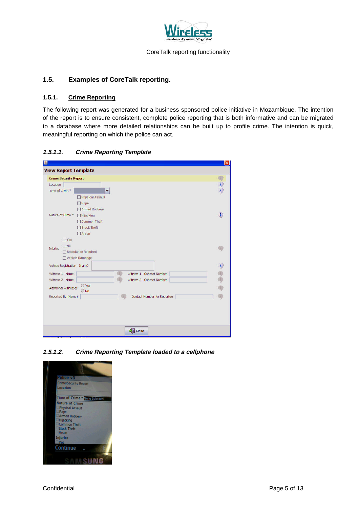

#### <span id="page-6-0"></span>**1.5. Examples of CoreTalk reporting.**

#### <span id="page-6-1"></span>**1.5.1. Crime Reporting**

The following report was generated for a business sponsored police initiative in Mozambique. The intention of the report is to ensure consistent, complete police reporting that is both informative and can be migrated to a database where more detailed relationships can be built up to profile crime. The intention is quick, meaningful reporting on which the police can act.

#### **1.5.1.1. Crime Reporting Template**

| <b>View Report Template</b>    |                             |      |
|--------------------------------|-----------------------------|------|
| <b>Crime/Security Report</b>   |                             |      |
| Location                       |                             |      |
| Time of Crime *                | ▼                           |      |
|                                | Physical Assault            |      |
|                                | Rape                        |      |
|                                | Armed Robbery               |      |
| Nature of Crime *              | <b>Hijacking</b>            | 1    |
|                                | Common Theft                |      |
|                                | Stock Theft                 |      |
|                                | Arson                       |      |
| $\Box$ Yes                     |                             |      |
| $\n  No\n$<br><b>Injuries</b>  |                             |      |
|                                | Ambulance Required          |      |
|                                | Vehicle Damange             |      |
| Vehicle Registration - If any? |                             | リリリッ |
| Witness 1 - Name               | Witness 1 - Contact Number  |      |
| Witness 2 - Name               | Witness 2 - Contact Number  |      |
| <b>Additional Witnesses</b>    | ◎ Yes                       |      |
|                                | O No                        |      |
| Reported By (Name)             | Contact Number for Reportee |      |
|                                |                             |      |
|                                |                             |      |
|                                |                             |      |
|                                |                             |      |
|                                |                             |      |
|                                | Close                       |      |

**1.5.1.2. Crime Reporting Template loaded to <sup>a</sup> cellphone**

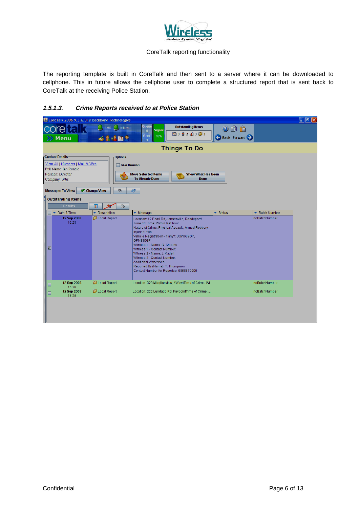

The reporting template is built in CoreTalk and then sent to a server where it can be downloaded to cellphone. This in future allows the cellphone user to complete a structured report that is sent back to CoreTalk at the receiving Police Station.

#### **1.5.1.3. Crime Reports received to at Police Station**

|                                                                                                | CoreTalk 2006 9.3.6.6i © Backbone Technologies |                                                                                                                                                                                                                                                                                                                                                                                                                                                    |                          |                |
|------------------------------------------------------------------------------------------------|------------------------------------------------|----------------------------------------------------------------------------------------------------------------------------------------------------------------------------------------------------------------------------------------------------------------------------------------------------------------------------------------------------------------------------------------------------------------------------------------------------|--------------------------|----------------|
| Menu                                                                                           | <b>O</b> , SMS C, Internet<br>6. 中国全           | Queue<br><b>Outstanding Items</b><br><b>Signal</b><br>$\mathbf{0}$<br>图3日2回3回3<br><b>Sent</b><br>70%                                                                                                                                                                                                                                                                                                                                               | 3<br><b>Back Forward</b> |                |
|                                                                                                |                                                | <b>Things To Do</b>                                                                                                                                                                                                                                                                                                                                                                                                                                |                          |                |
| -Contact Details-                                                                              | -Options-                                      |                                                                                                                                                                                                                                                                                                                                                                                                                                                    |                          |                |
| View All   Numbers   Mail & Web<br>Full Name: Ian Rundle<br>Position: Director<br>Company: Wbs |                                                | Give Reason<br><b>Move Selected Items</b><br><b>Show What Has Been</b><br><b>To Already Done</b><br><b>Done</b>                                                                                                                                                                                                                                                                                                                                    |                          |                |
| <b>Messages To View:</b>                                                                       | Change View<br>ø.                              | æ                                                                                                                                                                                                                                                                                                                                                                                                                                                  |                          |                |
| 1<br>P<br><b>Outstanding Items</b><br><b>3 Results</b>                                         | a<br>$\blacksquare$                            |                                                                                                                                                                                                                                                                                                                                                                                                                                                    |                          |                |
| Date & Time                                                                                    | Description                                    | • Message                                                                                                                                                                                                                                                                                                                                                                                                                                          | $\bullet$ Status         | ▼ Batch Number |
| 12 Sep 2008<br>16:28<br>⊡                                                                      | Local Report                                   | Location: 12 Pearl Rd, Jensenville, Roodeporrt<br>Time of Crime: Within last hour<br>Nature of Crime: Physical Assault, Armed Robbery<br>Injuries: Yes<br>Vehicle Registration - If any?: BSW689GP,<br>GPN880GP<br>Witness 1 - Name: D. Shauns<br>Witness 1 - Contact Number:<br>Witness 2 - Name: J. Kadell<br>Witness 2 - Contact Number:<br>Additional Witnesses:<br>Reported By (Name): T. Thompson<br>Contact Number for Reportee: 0858879000 |                          | noBatchNumber  |
| 12 Sep 2008<br>16:26                                                                           | Local Report                                   | Location: 328 Miagliesview, 4WaysTime of Crime: Wi                                                                                                                                                                                                                                                                                                                                                                                                 |                          | noBatchNumber  |
| 12 Sep 2008                                                                                    | Local Report                                   | Location: 222 Lundado Rd, KeypointTime of Crime:                                                                                                                                                                                                                                                                                                                                                                                                   |                          | noBatchNumber  |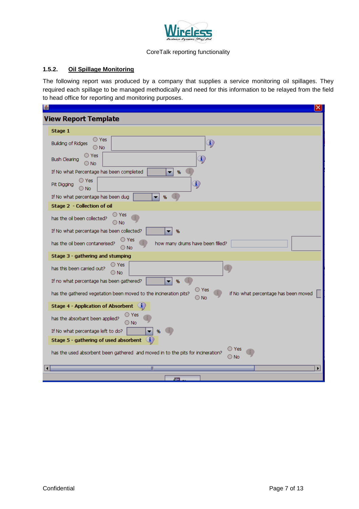

#### <span id="page-8-0"></span>**1.5.2. Oil Spillage Monitoring**

The following report was produced by a company that supplies a service monitoring oil spillages. They required each spillage to be managed methodically and need for this information to be relayed from the field to head office for reporting and monitoring purposes.

| 国 | ×                                                                                                                                  |
|---|------------------------------------------------------------------------------------------------------------------------------------|
|   | <b>View Report Template</b>                                                                                                        |
|   | Stage 1                                                                                                                            |
|   | $\bigcirc$ Yes<br>$\ket{\mathbf{i}}$<br><b>Building of Ridges</b><br>$\bigcirc$ No                                                 |
|   | ) Yes<br>$\ddot{\mathbf{j}}$<br><b>Bush Clearing</b><br>○ No                                                                       |
|   | If No what Percentage has been completed<br>%<br>▼                                                                                 |
|   | ○ Yes<br><u>i)</u><br>Pit Digging<br>) No                                                                                          |
|   | If No what percentage has been dug<br>▼                                                                                            |
|   | Stage 2 - Collection of oil                                                                                                        |
|   | Yes<br>has the oil been collected?<br>O No                                                                                         |
|   | If No what percentage has been collected?<br>%                                                                                     |
|   | ○ Yes<br>has the oil been contanerised?<br>how many drums have been filled?<br>○ No                                                |
|   | Stage 3 - gathering and stumping                                                                                                   |
|   | ○ Yes<br>has this been carried out?<br>○ No                                                                                        |
|   | If no what percentage has been gathered?                                                                                           |
|   | ○ Yes<br>has the gathered vegetation been moved to the incineration pits?<br>if No what percentage has been moved<br>$\bigcirc$ No |
|   | <b>Stage 4 - Application of Absorbent</b>                                                                                          |
|   | Yes<br>has the absorbant been applied?<br>○ No                                                                                     |
|   | If No what percentage left to do?                                                                                                  |
|   | i.<br>Stage 5 - gathering of used absorbent                                                                                        |
|   | Yes<br>has the used absorbent been gathered and moved in to the pits for incineration?<br>⊙ No                                     |
|   | III<br>٠                                                                                                                           |
|   | Œ                                                                                                                                  |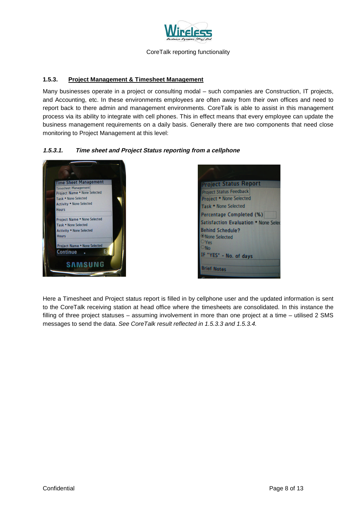

#### <span id="page-9-0"></span>**1.5.3. Project Management & Timesheet Management**

Many businesses operate in a project or consulting modal – such companies are Construction, IT projects, and Accounting, etc. In these environments employees are often away from their own offices and need to report back to there admin and management environments. CoreTalk is able to assist in this management process via its ability to integrate with cell phones. This in effect means that every employee can update the business management requirements on a daily basis. Generally there are two components that need close monitoring to Project Management at this level:

#### **1.5.3.1. Time sheet and Project Status reporting from <sup>a</sup> cellphone**





Here a Timesheet and Project status report is filled in by cellphone user and the updated information is sent to the CoreTalk receiving station at head office where the timesheets are consolidated. In this instance the filling of three project statuses – assuming involvement in more than one project at a time – utilised 2 SMS messages to send the data. *See CoreTalk result reflected in 1.5.3.3 and 1.5.3.4.*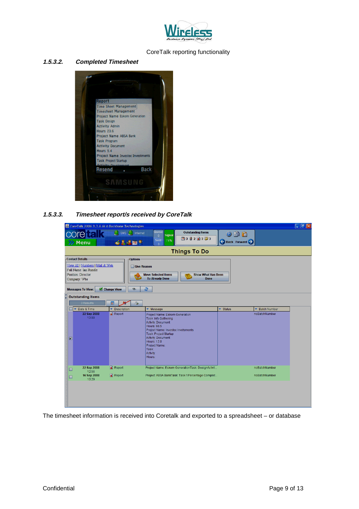

#### **1.5.3.2. Completed Timesheet**



**1.5.3.3. Timesheet report/s received by CoreTalk**

|                         | CoreTalk 2006 9.3.6.6i © Backbone Technologies                                                              |                                            |                                                                                                                                                                                                                                                                |                           |                          | $\Box$ e $\boxtimes$ |
|-------------------------|-------------------------------------------------------------------------------------------------------------|--------------------------------------------|----------------------------------------------------------------------------------------------------------------------------------------------------------------------------------------------------------------------------------------------------------------|---------------------------|--------------------------|----------------------|
|                         | Menu                                                                                                        | SMS <sup>2</sup> , Internet<br><b>12 Q</b> | <b>Queue</b><br><b>Outstanding Items</b><br><b>Signal</b><br>$\overline{0}$<br>四3日2回3回3<br>74%<br><b>Sent</b>                                                                                                                                                  | (?)<br>ra<br>Back Forward |                          |                      |
|                         |                                                                                                             |                                            | <b>Things To Do</b>                                                                                                                                                                                                                                            |                           |                          |                      |
|                         | -Contact Details-                                                                                           | <b>Options</b>                             |                                                                                                                                                                                                                                                                |                           |                          |                      |
|                         | <u>  View All   Numbers   Mail &amp; Web</u><br>Full Name: Ian Rundle<br>Position: Director<br>Company: Wbs |                                            | Give Reason<br><b>Move Selected Items</b><br><b>Show What Has Been</b><br><b>To Already Done</b><br><b>Done</b>                                                                                                                                                |                           |                          |                      |
|                         | <b>Messages To View:</b>                                                                                    | Change View<br><b>SO</b>                   | æ                                                                                                                                                                                                                                                              |                           |                          |                      |
| H                       | <b>Outstanding Items</b><br>3 Results                                                                       | $\blacksquare$<br>B                        |                                                                                                                                                                                                                                                                |                           |                          |                      |
|                         | Date & Time                                                                                                 | Description<br>٠                           | ▼ Message                                                                                                                                                                                                                                                      | ▼ Status                  | <b>Batch Number</b><br>۰ |                      |
| $\overline{\mathbf{r}}$ | 22 Sep 2008<br>13:00                                                                                        | Report                                     | Project Name: Eskom Generation<br>Task: Info Gathering<br><b>Activity: Document</b><br>Hours: 68.5<br>Project Name: Investec Invetsments<br>Task: Project Startup<br><b>Activity: Document</b><br>Hours: 12.0<br>Project Name:<br>Task:<br>Activity:<br>Hours: |                           | noBatchNumber            |                      |
|                         | 22 Sep 2008<br>12:56                                                                                        | Report                                     | Project Name: Eskom GenerationTask: DesignActivit                                                                                                                                                                                                              |                           | noBatchNumber            |                      |
|                         | 16 Sep 2008<br>13:29                                                                                        | Report                                     | Project: ABSA BankTask: Task 1 Percentage Complet                                                                                                                                                                                                              |                           | noBatchNumber            |                      |
|                         |                                                                                                             |                                            |                                                                                                                                                                                                                                                                |                           |                          |                      |

The timesheet information is received into Coretalk and exported to a spreadsheet – or database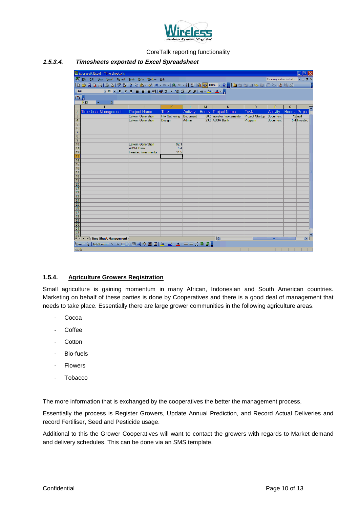

#### **1.5.3.4. Timesheets exported to Excel Spreadsheet**

|                                    | Microsoft Excel - Time sheet.xls                                     |                                             |                         |                 |                |                                 |                        |                          |               | ∣∂∥⊳         |
|------------------------------------|----------------------------------------------------------------------|---------------------------------------------|-------------------------|-----------------|----------------|---------------------------------|------------------------|--------------------------|---------------|--------------|
|                                    | : 图 File Edit View Insert Format Tools Data Window Help              |                                             |                         |                 |                |                                 |                        | Type a question for help |               | $-B \times$  |
|                                    | :DBHBA13AJVX1XBC·419·4-192·2·21211AD100% FO,:D22BBA15615612BB        |                                             |                         |                 |                |                                 |                        |                          |               |              |
| Arial                              |                                                                      |                                             |                         |                 |                |                                 |                        |                          |               |              |
|                                    | ▼10 ▼   B / U   三 三 三 国  59 % , 協 器  建 建  田 • ◇ • A • 日              |                                             |                         |                 |                |                                 |                        |                          |               |              |
| $\blacksquare$                     | K13<br>fx                                                            |                                             |                         |                 |                |                                 |                        |                          |               |              |
|                                    |                                                                      | $\mathbf{J}$                                | $\overline{\mathsf{K}}$ |                 | $\overline{M}$ | Ñ                               | $\Omega$               | P                        | $\Omega$      |              |
| $\overline{2}$                     | <b>Timesheet Management</b>                                          | <b>Project Name</b>                         | <b>Task</b>             | <b>Activity</b> |                | Hours Project Name              | <b>Task</b>            | <b>Activity</b>          | Hours Project |              |
| $\overline{3}$                     |                                                                      | <b>Eskom Generation</b>                     | Info Gathering          | <b>Document</b> |                | 68.5 Invested Invetsments       | <b>Project Startup</b> | <b>Document</b>          |               | $12$ null    |
| $\overline{4}$                     |                                                                      | <b>Eskom Generation</b>                     | <b>Design</b>           | <b>Admin</b>    |                | 23.6 ABSA Bank                  | Program                | <b>Document</b>          |               | 5.4 Invested |
| 5<br>$6\phantom{1}6$               |                                                                      |                                             |                         |                 |                |                                 |                        |                          |               |              |
| $\overline{7}$                     |                                                                      |                                             |                         |                 |                |                                 |                        |                          |               |              |
| $\bf{8}$                           |                                                                      |                                             |                         |                 |                |                                 |                        |                          |               |              |
| $\overline{9}$                     |                                                                      |                                             |                         |                 |                |                                 |                        |                          |               |              |
| 10<br>$\overline{11}$              |                                                                      | <b>Eskom Generation</b><br><b>ABSA Bank</b> | 92.1<br>5.4             |                 |                |                                 |                        |                          |               |              |
| 12                                 |                                                                      | <b>Investec Investments</b>                 | 14.5                    |                 |                |                                 |                        |                          |               |              |
| 13                                 |                                                                      |                                             |                         |                 |                |                                 |                        |                          |               |              |
| $\overline{14}$                    |                                                                      |                                             |                         |                 |                |                                 |                        |                          |               |              |
| 15<br>16                           |                                                                      |                                             |                         |                 |                |                                 |                        |                          |               |              |
| 17                                 |                                                                      |                                             |                         |                 |                |                                 |                        |                          |               |              |
| 18                                 |                                                                      |                                             |                         |                 |                |                                 |                        |                          |               |              |
| 19                                 |                                                                      |                                             |                         |                 |                |                                 |                        |                          |               |              |
| $\overline{20}$<br>21              |                                                                      |                                             |                         |                 |                |                                 |                        |                          |               |              |
| $\overline{22}$                    |                                                                      |                                             |                         |                 |                |                                 |                        |                          |               |              |
| $\overline{23}$                    |                                                                      |                                             |                         |                 |                |                                 |                        |                          |               |              |
| 24                                 |                                                                      |                                             |                         |                 |                |                                 |                        |                          |               |              |
| $\overline{25}$                    |                                                                      |                                             |                         |                 |                |                                 |                        |                          |               |              |
| $\frac{26}{27}$                    |                                                                      |                                             |                         |                 |                |                                 |                        |                          |               |              |
| $\overline{28}$                    |                                                                      |                                             |                         |                 |                |                                 |                        |                          |               |              |
| $\overline{29}$                    |                                                                      |                                             |                         |                 |                |                                 |                        |                          |               |              |
| $\overline{30}$<br>$\overline{31}$ |                                                                      |                                             |                         |                 |                |                                 |                        |                          |               |              |
| $\overline{32}$                    |                                                                      |                                             |                         |                 |                |                                 |                        |                          |               |              |
| 22                                 | $ A \rightarrow  B $ Time Sheet Management /                         |                                             |                         |                 |                | $\vert$ $\vert$ $\vert$ $\vert$ |                        |                          |               | $\mathbf{E}$ |
|                                    | :Draw ・ ん   AutoShapes ・ \ ヽ □ ○ 圖 ◀ ☆ 圓 図   ◇ ・ ⊿ ・ ▲ ・ 〓   〓 こ こ 圓 |                                             |                         |                 |                |                                 |                        |                          |               |              |
| Ready                              |                                                                      |                                             |                         |                 |                |                                 |                        |                          |               |              |
|                                    |                                                                      |                                             |                         |                 |                |                                 |                        |                          |               |              |

#### <span id="page-11-0"></span>**1.5.4. Agriculture Growers Registration**

Small agriculture is gaining momentum in many African, Indonesian and South American countries. Marketing on behalf of these parties is done by Cooperatives and there is a good deal of management that needs to take place. Essentially there are large grower communities in the following agriculture areas.

- Cocoa
- Coffee
- Cotton
- Bio-fuels
- **Flowers**
- Tobacco

The more information that is exchanged by the cooperatives the better the management process.

Essentially the process is Register Growers, Update Annual Prediction, and Record Actual Deliveries and record Fertiliser, Seed and Pesticide usage.

Additional to this the Grower Cooperatives will want to contact the growers with regards to Market demand and delivery schedules. This can be done via an SMS template.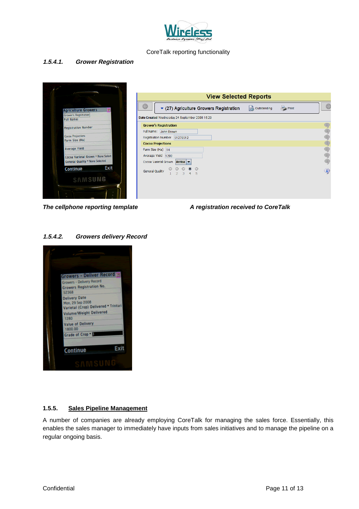

#### **1.5.4.1. Grower Registration**



#### *The cellphone reporting template A registration received to CoreTalk*

#### **1.5.4.2. Growers delivery Record**



#### <span id="page-12-0"></span>**1.5.5. Sales Pipeline Management**

A number of companies are already employing CoreTalk for managing the sales force. Essentially, this enables the sales manager to immediately have inputs from sales initiatives and to manage the pipeline on a regular ongoing basis.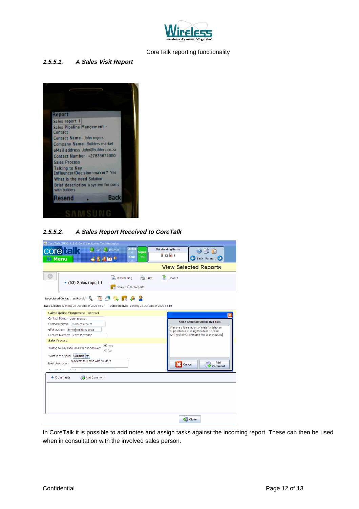

#### **1.5.5.1. A Sales Visit Report**

| Report                                               |
|------------------------------------------------------|
| Sales report 1                                       |
| Sales Pipeline Mangement -<br>Contact                |
| Contact Name: John rogers                            |
| <b>Company Name: Builders market</b>                 |
| eMail address John@builders.co.za                    |
| Contact Number: +27835674000                         |
| <b>Sales Process</b>                                 |
| <b>Talking to Key</b>                                |
| <b>Infleuncer/Decision-maker? Yes</b>                |
| What is the need Solution                            |
| Brief description a system for coms<br>with builders |
| <b>Back</b><br>Resend                                |
|                                                      |
|                                                      |

**1.5.5.2. A Sales Report Received to CoreTalk**

| CoreTalk 2006 9.3.6.6y © Backbone Technologies                                                                                                                                                                                                                                                                                                                                            |                         |                                             |                          |                                                                                                                                                                                                         |
|-------------------------------------------------------------------------------------------------------------------------------------------------------------------------------------------------------------------------------------------------------------------------------------------------------------------------------------------------------------------------------------------|-------------------------|---------------------------------------------|--------------------------|---------------------------------------------------------------------------------------------------------------------------------------------------------------------------------------------------------|
| <b>COreliell's</b>                                                                                                                                                                                                                                                                                                                                                                        | SMS <b>SMS</b> Internet | Queue<br><b>Signal</b><br>$\Omega$          | <b>Outstanding Items</b> | ri F                                                                                                                                                                                                    |
| <b>Menu</b>                                                                                                                                                                                                                                                                                                                                                                               | 319129                  | Sent<br>76%<br>$\overline{a}$               | 2234                     | <b>Back Forward</b>                                                                                                                                                                                     |
|                                                                                                                                                                                                                                                                                                                                                                                           |                         |                                             |                          | <b>View Selected Reports</b>                                                                                                                                                                            |
| $(53)$ Sales report 1                                                                                                                                                                                                                                                                                                                                                                     | Outstanding<br>l.       | Print<br><b>Show Similar Reports</b>        | 价<br>Forward             |                                                                                                                                                                                                         |
| $\frac{mn}{12}$<br>đ<br><b>Associated Contact Ian Rundle</b>                                                                                                                                                                                                                                                                                                                              |                         |                                             |                          |                                                                                                                                                                                                         |
| Date Created Monday 08 December 2008 18:07<br>Sales Pipeline Mangement - Contact                                                                                                                                                                                                                                                                                                          |                         | Date Received Monday 08 December 2008 16:10 |                          |                                                                                                                                                                                                         |
| Contact Name: John rogers<br>Company Name:<br><b>Builders market</b><br>eMail address John@builders.co.za<br>Contact Number: +27835674000<br><b>Sales Process</b><br>Talking to Key Infleuncer/Decision-maker?<br>What is the need<br>Solution $\blacktriangledown$<br>a system for coms with builders<br><b>Brief description</b><br><b>Service</b><br>$-0.0133333333$<br><b>COLLANS</b> | ◉ Yes<br>○ No           |                                             | Cancel                   | ×<br><b>Add A Comment About This Item</b><br>Wehave a fair amount of material taht can<br>support us in closing this deal. Look at<br>C:/CoreTalk/Clients and find a case study.<br>Add<br>$\equiv$ Add |
| Add Comment<br>$\triangle$ Comments                                                                                                                                                                                                                                                                                                                                                       |                         |                                             |                          |                                                                                                                                                                                                         |
|                                                                                                                                                                                                                                                                                                                                                                                           |                         |                                             |                          | <b>Close</b>                                                                                                                                                                                            |

In CoreTalk it is possible to add notes and assign tasks against the incoming report. These can then be used when in consultation with the involved sales person.